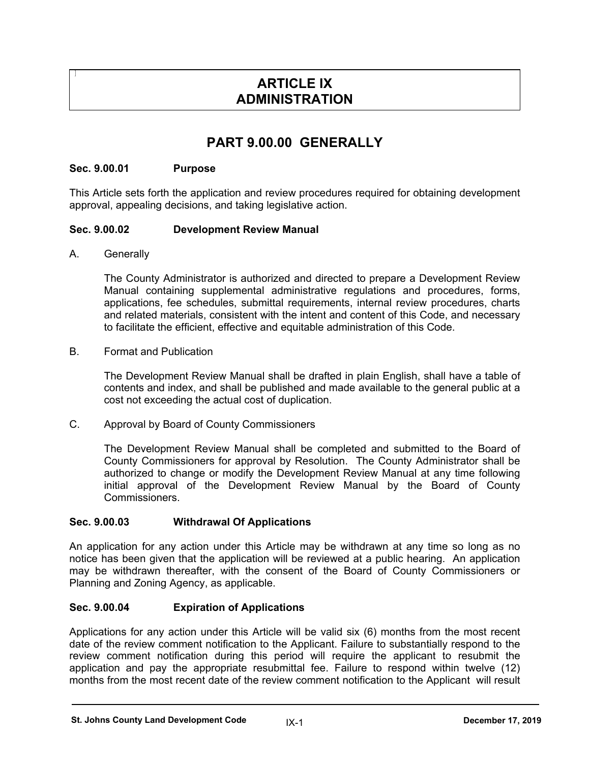# **ARTICLE IX ADMINISTRATION**

# **PART 9.00.00 GENERALLY**

## **Sec. 9.00.01 Purpose**

This Article sets forth the application and review procedures required for obtaining development approval, appealing decisions, and taking legislative action.

## **Sec. 9.00.02 Development Review Manual**

A. Generally

The County Administrator is authorized and directed to prepare a Development Review Manual containing supplemental administrative regulations and procedures, forms, applications, fee schedules, submittal requirements, internal review procedures, charts and related materials, consistent with the intent and content of this Code, and necessary to facilitate the efficient, effective and equitable administration of this Code.

### B. Format and Publication

The Development Review Manual shall be drafted in plain English, shall have a table of contents and index, and shall be published and made available to the general public at a cost not exceeding the actual cost of duplication.

C. Approval by Board of County Commissioners

The Development Review Manual shall be completed and submitted to the Board of County Commissioners for approval by Resolution. The County Administrator shall be authorized to change or modify the Development Review Manual at any time following initial approval of the Development Review Manual by the Board of County Commissioners.

### **Sec. 9.00.03 Withdrawal Of Applications**

An application for any action under this Article may be withdrawn at any time so long as no notice has been given that the application will be reviewed at a public hearing. An application may be withdrawn thereafter, with the consent of the Board of County Commissioners or Planning and Zoning Agency, as applicable.

### **Sec. 9.00.04 Expiration of Applications**

Applications for any action under this Article will be valid six (6) months from the most recent date of the review comment notification to the Applicant. Failure to substantially respond to the review comment notification during this period will require the applicant to resubmit the application and pay the appropriate resubmittal fee. Failure to respond within twelve (12) months from the most recent date of the review comment notification to the Applicant will result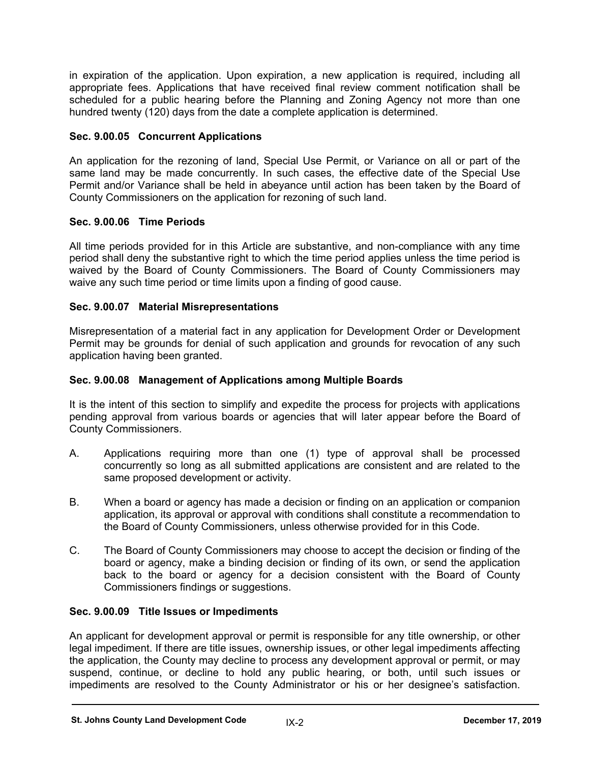in expiration of the application. Upon expiration, a new application is required, including all appropriate fees. Applications that have received final review comment notification shall be scheduled for a public hearing before the Planning and Zoning Agency not more than one hundred twenty (120) days from the date a complete application is determined.

## **Sec. 9.00.05 Concurrent Applications**

An application for the rezoning of land, Special Use Permit, or Variance on all or part of the same land may be made concurrently. In such cases, the effective date of the Special Use Permit and/or Variance shall be held in abeyance until action has been taken by the Board of County Commissioners on the application for rezoning of such land.

## **Sec. 9.00.06 Time Periods**

All time periods provided for in this Article are substantive, and non-compliance with any time period shall deny the substantive right to which the time period applies unless the time period is waived by the Board of County Commissioners. The Board of County Commissioners may waive any such time period or time limits upon a finding of good cause.

## **Sec. 9.00.07 Material Misrepresentations**

Misrepresentation of a material fact in any application for Development Order or Development Permit may be grounds for denial of such application and grounds for revocation of any such application having been granted.

## **Sec. 9.00.08 Management of Applications among Multiple Boards**

It is the intent of this section to simplify and expedite the process for projects with applications pending approval from various boards or agencies that will later appear before the Board of County Commissioners.

- A. Applications requiring more than one (1) type of approval shall be processed concurrently so long as all submitted applications are consistent and are related to the same proposed development or activity.
- B. When a board or agency has made a decision or finding on an application or companion application, its approval or approval with conditions shall constitute a recommendation to the Board of County Commissioners, unless otherwise provided for in this Code.
- C. The Board of County Commissioners may choose to accept the decision or finding of the board or agency, make a binding decision or finding of its own, or send the application back to the board or agency for a decision consistent with the Board of County Commissioners findings or suggestions.

## **Sec. 9.00.09 Title Issues or Impediments**

An applicant for development approval or permit is responsible for any title ownership, or other legal impediment. If there are title issues, ownership issues, or other legal impediments affecting the application, the County may decline to process any development approval or permit, or may suspend, continue, or decline to hold any public hearing, or both, until such issues or impediments are resolved to the County Administrator or his or her designee's satisfaction.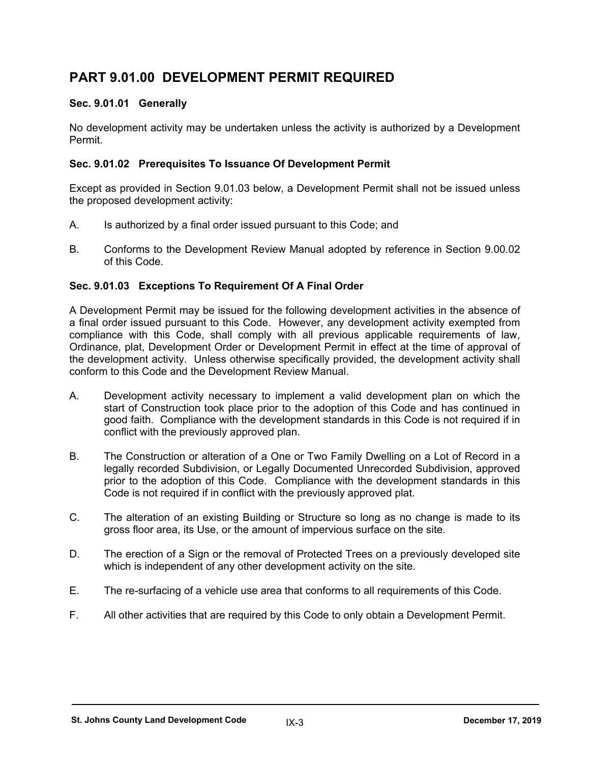# **PART 9.01.00 DEVELOPMENT PERMIT REQUIRED**

## **Sec. 9.01.01 Generally**

No development activity may be undertaken unless the activity is authorized by a Development Permit.

### **Sec. 9.01.02 Prerequisites To Issuance Of Development Permit**

Except as provided in Section 9.01.03 below, a Development Permit shall not be issued unless the proposed development activity:

- A. Is authorized by a final order issued pursuant to this Code; and
- B. Conforms to the Development Review Manual adopted by reference in Section 9.00.02 of this Code.

## **Sec. 9.01.03 Exceptions To Requirement Of A Final Order**

A Development Permit may be issued for the following development activities in the absence of a final order issued pursuant to this Code. However, any development activity exempted from compliance with this Code, shall comply with all previous applicable requirements of law, Ordinance, plat, Development Order or Development Permit in effect at the time of approval of the development activity. Unless otherwise specifically provided, the development activity shall conform to this Code and the Development Review Manual.

- A. Development activity necessary to implement a valid development plan on which the start of Construction took place prior to the adoption of this Code and has continued in good faith. Compliance with the development standards in this Code is not required if in conflict with the previously approved plan.
- B. The Construction or alteration of a One or Two Family Dwelling on a Lot of Record in a legally recorded Subdivision, or Legally Documented Unrecorded Subdivision, approved prior to the adoption of this Code. Compliance with the development standards in this Code is not required if in conflict with the previously approved plat.
- C. The alteration of an existing Building or Structure so long as no change is made to its gross floor area, its Use, or the amount of impervious surface on the site.
- D. The erection of a Sign or the removal of Protected Trees on a previously developed site which is independent of any other development activity on the site.
- E. The re-surfacing of a vehicle use area that conforms to all requirements of this Code.
- F. All other activities that are required by this Code to only obtain a Development Permit.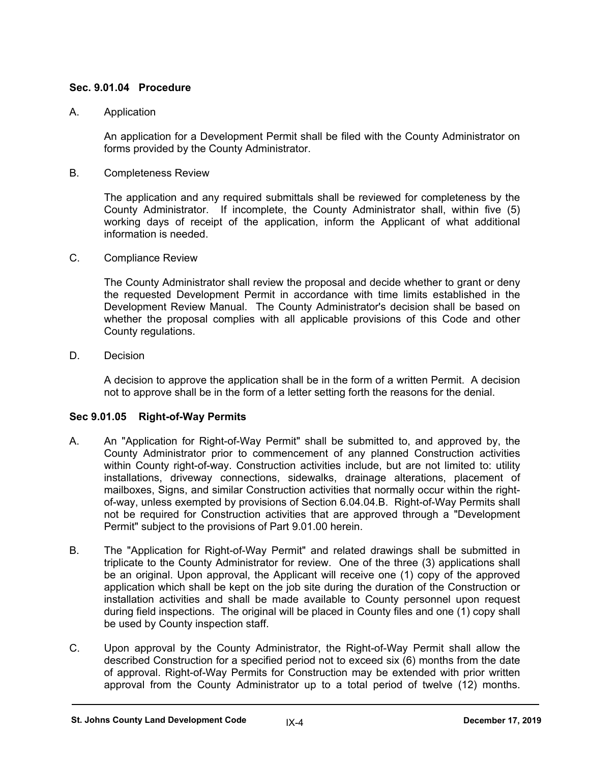## **Sec. 9.01.04 Procedure**

## A. Application

An application for a Development Permit shall be filed with the County Administrator on forms provided by the County Administrator.

B. Completeness Review

The application and any required submittals shall be reviewed for completeness by the County Administrator. If incomplete, the County Administrator shall, within five (5) working days of receipt of the application, inform the Applicant of what additional information is needed.

C. Compliance Review

The County Administrator shall review the proposal and decide whether to grant or deny the requested Development Permit in accordance with time limits established in the Development Review Manual. The County Administrator's decision shall be based on whether the proposal complies with all applicable provisions of this Code and other County regulations.

D. Decision

A decision to approve the application shall be in the form of a written Permit. A decision not to approve shall be in the form of a letter setting forth the reasons for the denial.

## **Sec 9.01.05 Right-of-Way Permits**

- A. An "Application for Right-of-Way Permit" shall be submitted to, and approved by, the County Administrator prior to commencement of any planned Construction activities within County right-of-way. Construction activities include, but are not limited to: utility installations, driveway connections, sidewalks, drainage alterations, placement of mailboxes, Signs, and similar Construction activities that normally occur within the rightof-way, unless exempted by provisions of Section 6.04.04.B. Right-of-Way Permits shall not be required for Construction activities that are approved through a "Development Permit" subject to the provisions of Part 9.01.00 herein.
- B. The "Application for Right-of-Way Permit" and related drawings shall be submitted in triplicate to the County Administrator for review. One of the three (3) applications shall be an original. Upon approval, the Applicant will receive one (1) copy of the approved application which shall be kept on the job site during the duration of the Construction or installation activities and shall be made available to County personnel upon request during field inspections. The original will be placed in County files and one (1) copy shall be used by County inspection staff.
- C. Upon approval by the County Administrator, the Right-of-Way Permit shall allow the described Construction for a specified period not to exceed six (6) months from the date of approval. Right-of-Way Permits for Construction may be extended with prior written approval from the County Administrator up to a total period of twelve (12) months.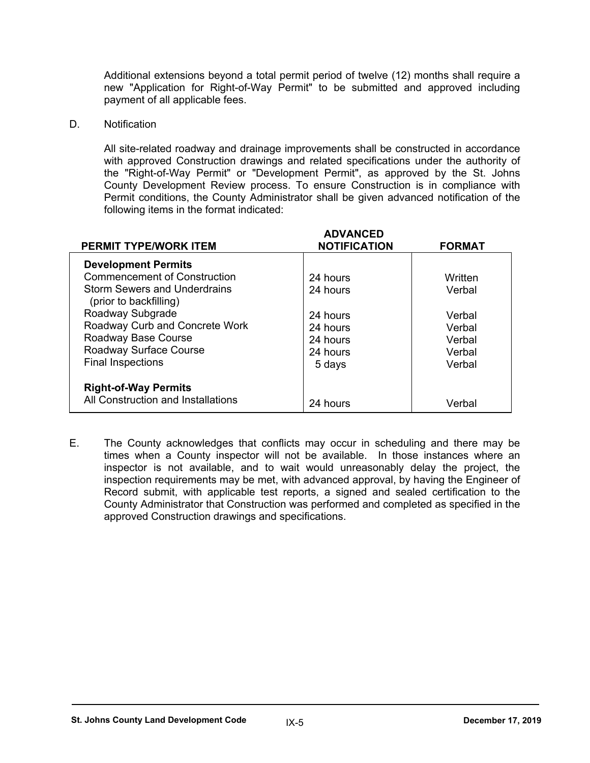Additional extensions beyond a total permit period of twelve (12) months shall require a new "Application for Right-of-Way Permit" to be submitted and approved including payment of all applicable fees.

D. Notification

All site-related roadway and drainage improvements shall be constructed in accordance with approved Construction drawings and related specifications under the authority of the "Right-of-Way Permit" or "Development Permit", as approved by the St. Johns County Development Review process. To ensure Construction is in compliance with Permit conditions, the County Administrator shall be given advanced notification of the following items in the format indicated:

| <b>PERMIT TYPE/WORK ITEM</b>                           | <b>ADVANCED</b><br><b>NOTIFICATION</b> | <b>FORMAT</b> |
|--------------------------------------------------------|----------------------------------------|---------------|
| <b>Development Permits</b>                             |                                        |               |
| <b>Commencement of Construction</b>                    | 24 hours                               | Written       |
| Storm Sewers and Underdrains<br>(prior to backfilling) | 24 hours                               | Verbal        |
| Roadway Subgrade                                       | 24 hours                               | Verbal        |
| Roadway Curb and Concrete Work                         | 24 hours                               | Verbal        |
| Roadway Base Course                                    | 24 hours                               | Verbal        |
| Roadway Surface Course                                 | 24 hours                               | Verbal        |
| <b>Final Inspections</b>                               | 5 days                                 | Verbal        |
| <b>Right-of-Way Permits</b>                            |                                        |               |
| All Construction and Installations                     | 24 hours                               | Verbal        |

E. The County acknowledges that conflicts may occur in scheduling and there may be times when a County inspector will not be available. In those instances where an inspector is not available, and to wait would unreasonably delay the project, the inspection requirements may be met, with advanced approval, by having the Engineer of Record submit, with applicable test reports, a signed and sealed certification to the County Administrator that Construction was performed and completed as specified in the approved Construction drawings and specifications.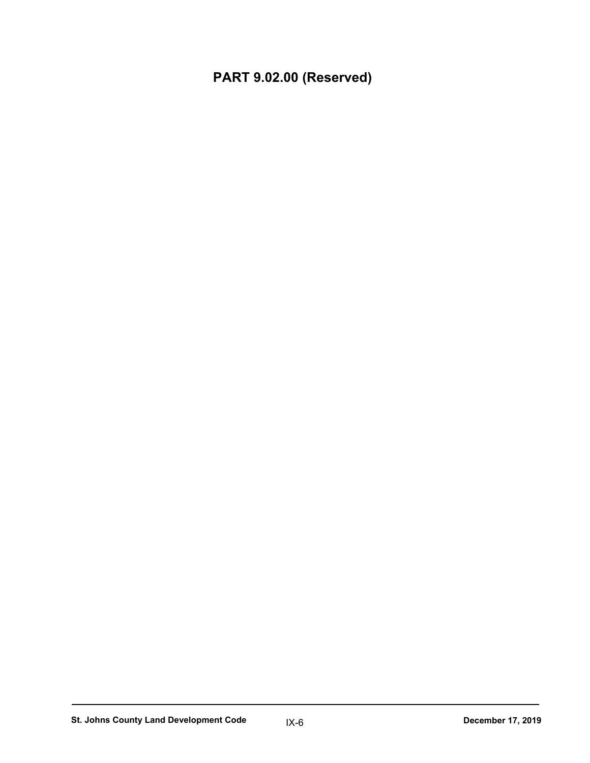**PART 9.02.00 (Reserved)**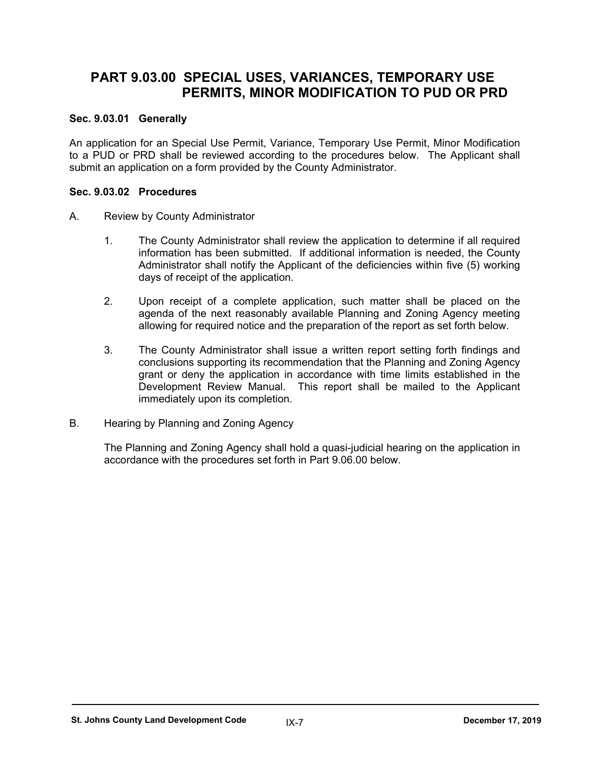# **PART 9.03.00 SPECIAL USES, VARIANCES, TEMPORARY USE PERMITS, MINOR MODIFICATION TO PUD OR PRD**

## **Sec. 9.03.01 Generally**

An application for an Special Use Permit, Variance, Temporary Use Permit, Minor Modification to a PUD or PRD shall be reviewed according to the procedures below. The Applicant shall submit an application on a form provided by the County Administrator.

### **Sec. 9.03.02 Procedures**

- A. Review by County Administrator
	- 1. The County Administrator shall review the application to determine if all required information has been submitted. If additional information is needed, the County Administrator shall notify the Applicant of the deficiencies within five (5) working days of receipt of the application.
	- 2. Upon receipt of a complete application, such matter shall be placed on the agenda of the next reasonably available Planning and Zoning Agency meeting allowing for required notice and the preparation of the report as set forth below.
	- 3. The County Administrator shall issue a written report setting forth findings and conclusions supporting its recommendation that the Planning and Zoning Agency grant or deny the application in accordance with time limits established in the Development Review Manual. This report shall be mailed to the Applicant immediately upon its completion.
- B. Hearing by Planning and Zoning Agency

The Planning and Zoning Agency shall hold a quasi-judicial hearing on the application in accordance with the procedures set forth in Part 9.06.00 below.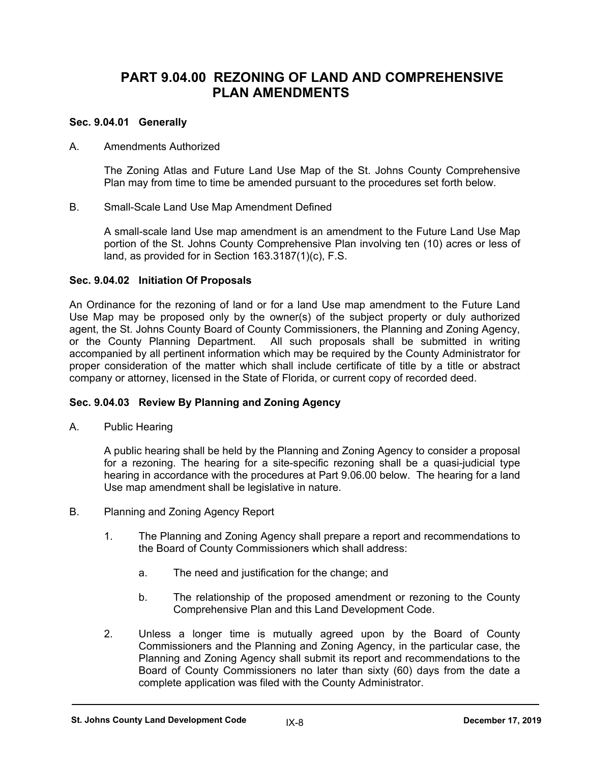## **PART 9.04.00 REZONING OF LAND AND COMPREHENSIVE PLAN AMENDMENTS**

### **Sec. 9.04.01 Generally**

#### A. Amendments Authorized

The Zoning Atlas and Future Land Use Map of the St. Johns County Comprehensive Plan may from time to time be amended pursuant to the procedures set forth below.

B. Small-Scale Land Use Map Amendment Defined

A small-scale land Use map amendment is an amendment to the Future Land Use Map portion of the St. Johns County Comprehensive Plan involving ten (10) acres or less of land, as provided for in Section 163.3187(1)(c), F.S.

#### **Sec. 9.04.02 Initiation Of Proposals**

An Ordinance for the rezoning of land or for a land Use map amendment to the Future Land Use Map may be proposed only by the owner(s) of the subject property or duly authorized agent, the St. Johns County Board of County Commissioners, the Planning and Zoning Agency, or the County Planning Department. All such proposals shall be submitted in writing accompanied by all pertinent information which may be required by the County Administrator for proper consideration of the matter which shall include certificate of title by a title or abstract company or attorney, licensed in the State of Florida, or current copy of recorded deed.

## **Sec. 9.04.03 Review By Planning and Zoning Agency**

A. Public Hearing

A public hearing shall be held by the Planning and Zoning Agency to consider a proposal for a rezoning. The hearing for a site-specific rezoning shall be a quasi-judicial type hearing in accordance with the procedures at Part 9.06.00 below. The hearing for a land Use map amendment shall be legislative in nature.

- B. Planning and Zoning Agency Report
	- 1. The Planning and Zoning Agency shall prepare a report and recommendations to the Board of County Commissioners which shall address:
		- a. The need and justification for the change; and
		- b. The relationship of the proposed amendment or rezoning to the County Comprehensive Plan and this Land Development Code.
	- 2. Unless a longer time is mutually agreed upon by the Board of County Commissioners and the Planning and Zoning Agency, in the particular case, the Planning and Zoning Agency shall submit its report and recommendations to the Board of County Commissioners no later than sixty (60) days from the date a complete application was filed with the County Administrator.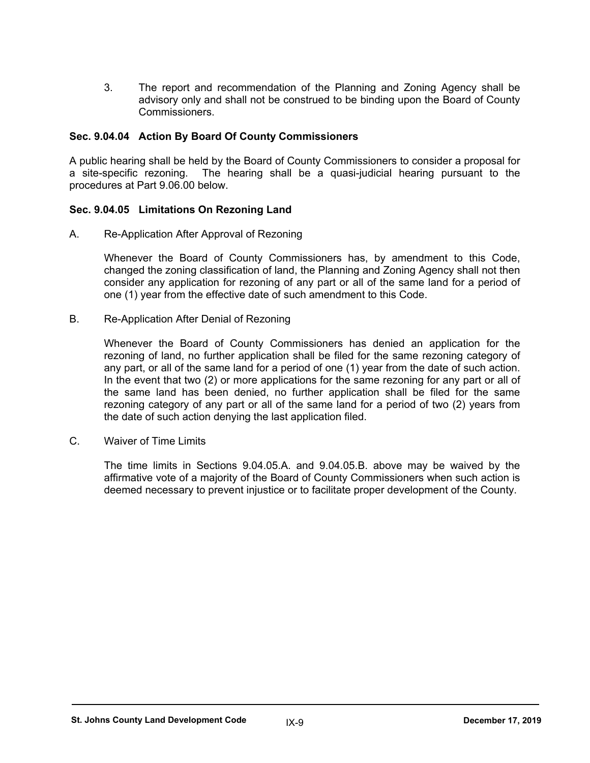3. The report and recommendation of the Planning and Zoning Agency shall be advisory only and shall not be construed to be binding upon the Board of County Commissioners.

#### **Sec. 9.04.04 Action By Board Of County Commissioners**

A public hearing shall be held by the Board of County Commissioners to consider a proposal for a site-specific rezoning. The hearing shall be a quasi-judicial hearing pursuant to the procedures at Part 9.06.00 below.

#### **Sec. 9.04.05 Limitations On Rezoning Land**

A. Re-Application After Approval of Rezoning

Whenever the Board of County Commissioners has, by amendment to this Code, changed the zoning classification of land, the Planning and Zoning Agency shall not then consider any application for rezoning of any part or all of the same land for a period of one (1) year from the effective date of such amendment to this Code.

B. Re-Application After Denial of Rezoning

Whenever the Board of County Commissioners has denied an application for the rezoning of land, no further application shall be filed for the same rezoning category of any part, or all of the same land for a period of one (1) year from the date of such action. In the event that two (2) or more applications for the same rezoning for any part or all of the same land has been denied, no further application shall be filed for the same rezoning category of any part or all of the same land for a period of two (2) years from the date of such action denying the last application filed.

C. Waiver of Time Limits

The time limits in Sections 9.04.05.A. and 9.04.05.B. above may be waived by the affirmative vote of a majority of the Board of County Commissioners when such action is deemed necessary to prevent injustice or to facilitate proper development of the County.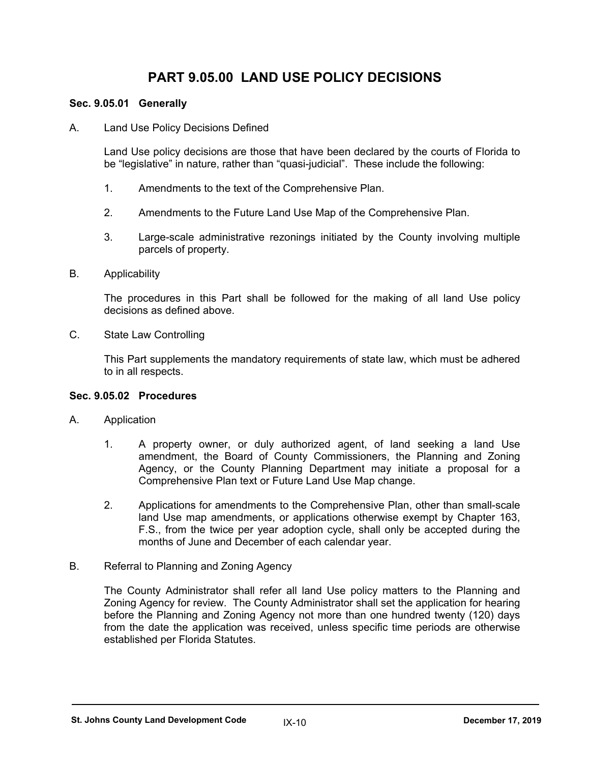# **PART 9.05.00 LAND USE POLICY DECISIONS**

#### **Sec. 9.05.01 Generally**

A. Land Use Policy Decisions Defined

Land Use policy decisions are those that have been declared by the courts of Florida to be "legislative" in nature, rather than "quasi-judicial". These include the following:

- 1. Amendments to the text of the Comprehensive Plan.
- 2. Amendments to the Future Land Use Map of the Comprehensive Plan.
- 3. Large-scale administrative rezonings initiated by the County involving multiple parcels of property.
- B. Applicability

The procedures in this Part shall be followed for the making of all land Use policy decisions as defined above.

C. State Law Controlling

This Part supplements the mandatory requirements of state law, which must be adhered to in all respects.

#### **Sec. 9.05.02 Procedures**

- A. Application
	- 1. A property owner, or duly authorized agent, of land seeking a land Use amendment, the Board of County Commissioners, the Planning and Zoning Agency, or the County Planning Department may initiate a proposal for a Comprehensive Plan text or Future Land Use Map change.
	- 2. Applications for amendments to the Comprehensive Plan, other than small-scale land Use map amendments, or applications otherwise exempt by Chapter 163, F.S., from the twice per year adoption cycle, shall only be accepted during the months of June and December of each calendar year.
- B. Referral to Planning and Zoning Agency

The County Administrator shall refer all land Use policy matters to the Planning and Zoning Agency for review. The County Administrator shall set the application for hearing before the Planning and Zoning Agency not more than one hundred twenty (120) days from the date the application was received, unless specific time periods are otherwise established per Florida Statutes.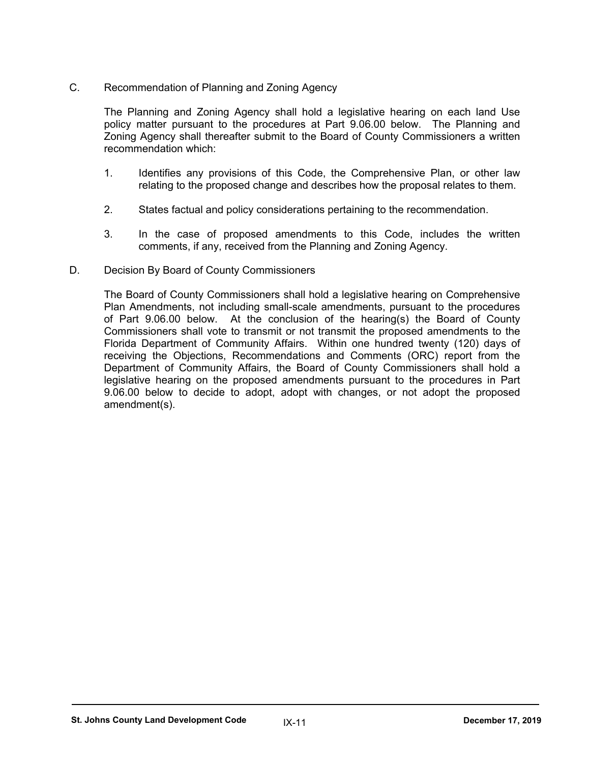C. Recommendation of Planning and Zoning Agency

The Planning and Zoning Agency shall hold a legislative hearing on each land Use policy matter pursuant to the procedures at Part 9.06.00 below. The Planning and Zoning Agency shall thereafter submit to the Board of County Commissioners a written recommendation which:

- 1. Identifies any provisions of this Code, the Comprehensive Plan, or other law relating to the proposed change and describes how the proposal relates to them.
- 2. States factual and policy considerations pertaining to the recommendation.
- 3. In the case of proposed amendments to this Code, includes the written comments, if any, received from the Planning and Zoning Agency.
- D. Decision By Board of County Commissioners

The Board of County Commissioners shall hold a legislative hearing on Comprehensive Plan Amendments, not including small-scale amendments, pursuant to the procedures of Part 9.06.00 below. At the conclusion of the hearing(s) the Board of County Commissioners shall vote to transmit or not transmit the proposed amendments to the Florida Department of Community Affairs. Within one hundred twenty (120) days of receiving the Objections, Recommendations and Comments (ORC) report from the Department of Community Affairs, the Board of County Commissioners shall hold a legislative hearing on the proposed amendments pursuant to the procedures in Part 9.06.00 below to decide to adopt, adopt with changes, or not adopt the proposed amendment(s).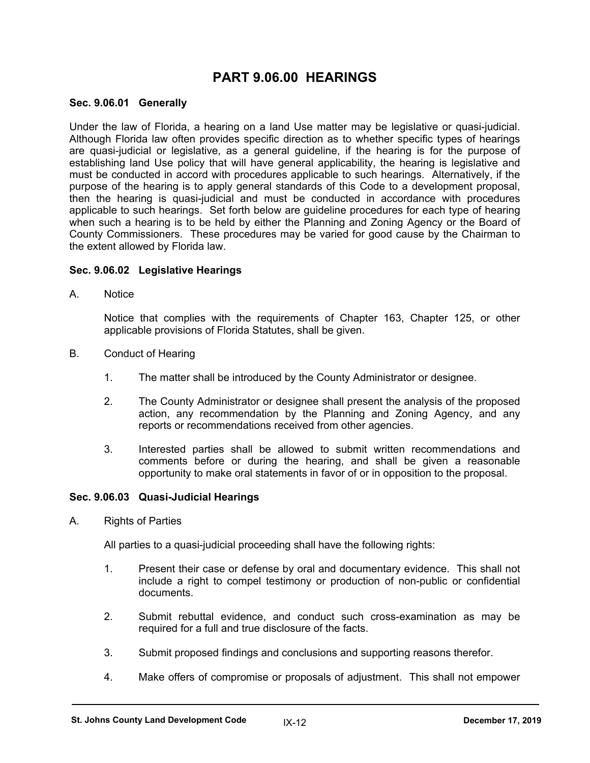## **PART 9.06.00 HEARINGS**

#### **Sec. 9.06.01 Generally**

Under the law of Florida, a hearing on a land Use matter may be legislative or quasi-judicial. Although Florida law often provides specific direction as to whether specific types of hearings are quasi-judicial or legislative, as a general guideline, if the hearing is for the purpose of establishing land Use policy that will have general applicability, the hearing is legislative and must be conducted in accord with procedures applicable to such hearings. Alternatively, if the purpose of the hearing is to apply general standards of this Code to a development proposal, then the hearing is quasi-judicial and must be conducted in accordance with procedures applicable to such hearings. Set forth below are guideline procedures for each type of hearing when such a hearing is to be held by either the Planning and Zoning Agency or the Board of County Commissioners. These procedures may be varied for good cause by the Chairman to the extent allowed by Florida law.

#### **Sec. 9.06.02 Legislative Hearings**

A. Notice

Notice that complies with the requirements of Chapter 163, Chapter 125, or other applicable provisions of Florida Statutes, shall be given.

- B. Conduct of Hearing
	- 1. The matter shall be introduced by the County Administrator or designee.
	- 2. The County Administrator or designee shall present the analysis of the proposed action, any recommendation by the Planning and Zoning Agency, and any reports or recommendations received from other agencies.
	- 3. Interested parties shall be allowed to submit written recommendations and comments before or during the hearing, and shall be given a reasonable opportunity to make oral statements in favor of or in opposition to the proposal.

#### **Sec. 9.06.03 Quasi-Judicial Hearings**

A. Rights of Parties

All parties to a quasi-judicial proceeding shall have the following rights:

- 1. Present their case or defense by oral and documentary evidence. This shall not include a right to compel testimony or production of non-public or confidential documents.
- 2. Submit rebuttal evidence, and conduct such cross-examination as may be required for a full and true disclosure of the facts.
- 3. Submit proposed findings and conclusions and supporting reasons therefor.
- 4. Make offers of compromise or proposals of adjustment. This shall not empower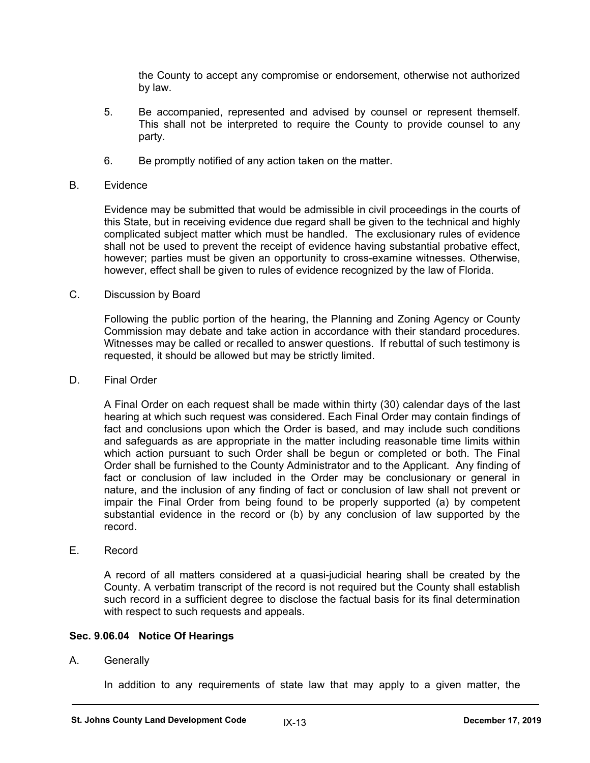the County to accept any compromise or endorsement, otherwise not authorized by law.

- 5. Be accompanied, represented and advised by counsel or represent themself. This shall not be interpreted to require the County to provide counsel to any party.
- 6. Be promptly notified of any action taken on the matter.

#### B. Evidence

Evidence may be submitted that would be admissible in civil proceedings in the courts of this State, but in receiving evidence due regard shall be given to the technical and highly complicated subject matter which must be handled. The exclusionary rules of evidence shall not be used to prevent the receipt of evidence having substantial probative effect, however; parties must be given an opportunity to cross-examine witnesses. Otherwise, however, effect shall be given to rules of evidence recognized by the law of Florida.

C. Discussion by Board

Following the public portion of the hearing, the Planning and Zoning Agency or County Commission may debate and take action in accordance with their standard procedures. Witnesses may be called or recalled to answer questions. If rebuttal of such testimony is requested, it should be allowed but may be strictly limited.

D. Final Order

A Final Order on each request shall be made within thirty (30) calendar days of the last hearing at which such request was considered. Each Final Order may contain findings of fact and conclusions upon which the Order is based, and may include such conditions and safeguards as are appropriate in the matter including reasonable time limits within which action pursuant to such Order shall be begun or completed or both. The Final Order shall be furnished to the County Administrator and to the Applicant. Any finding of fact or conclusion of law included in the Order may be conclusionary or general in nature, and the inclusion of any finding of fact or conclusion of law shall not prevent or impair the Final Order from being found to be properly supported (a) by competent substantial evidence in the record or (b) by any conclusion of law supported by the record.

E. Record

A record of all matters considered at a quasi-judicial hearing shall be created by the County. A verbatim transcript of the record is not required but the County shall establish such record in a sufficient degree to disclose the factual basis for its final determination with respect to such requests and appeals.

#### **Sec. 9.06.04 Notice Of Hearings**

A. Generally

In addition to any requirements of state law that may apply to a given matter, the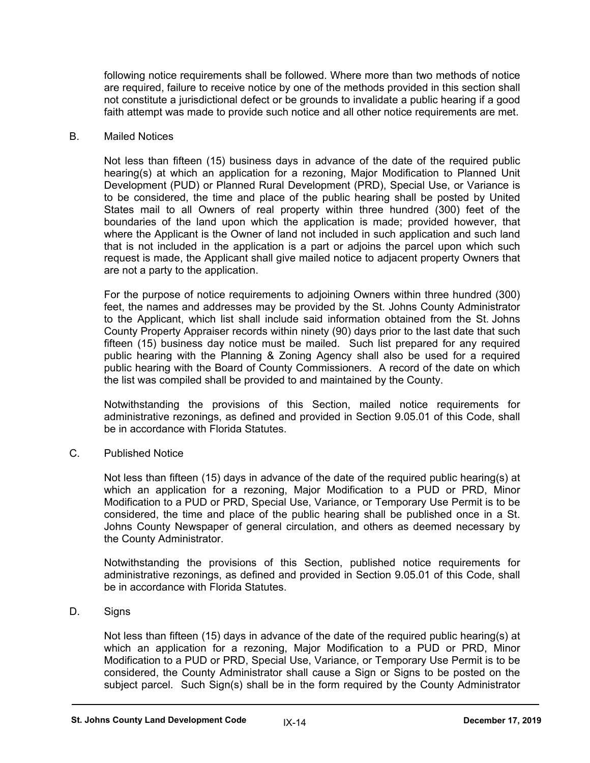following notice requirements shall be followed. Where more than two methods of notice are required, failure to receive notice by one of the methods provided in this section shall not constitute a jurisdictional defect or be grounds to invalidate a public hearing if a good faith attempt was made to provide such notice and all other notice requirements are met.

#### B. Mailed Notices

Not less than fifteen (15) business days in advance of the date of the required public hearing(s) at which an application for a rezoning, Major Modification to Planned Unit Development (PUD) or Planned Rural Development (PRD), Special Use, or Variance is to be considered, the time and place of the public hearing shall be posted by United States mail to all Owners of real property within three hundred (300) feet of the boundaries of the land upon which the application is made; provided however, that where the Applicant is the Owner of land not included in such application and such land that is not included in the application is a part or adjoins the parcel upon which such request is made, the Applicant shall give mailed notice to adjacent property Owners that are not a party to the application.

For the purpose of notice requirements to adjoining Owners within three hundred (300) feet, the names and addresses may be provided by the St. Johns County Administrator to the Applicant, which list shall include said information obtained from the St. Johns County Property Appraiser records within ninety (90) days prior to the last date that such fifteen (15) business day notice must be mailed. Such list prepared for any required public hearing with the Planning & Zoning Agency shall also be used for a required public hearing with the Board of County Commissioners. A record of the date on which the list was compiled shall be provided to and maintained by the County.

Notwithstanding the provisions of this Section, mailed notice requirements for administrative rezonings, as defined and provided in Section 9.05.01 of this Code, shall be in accordance with Florida Statutes.

C. Published Notice

Not less than fifteen (15) days in advance of the date of the required public hearing(s) at which an application for a rezoning, Major Modification to a PUD or PRD, Minor Modification to a PUD or PRD, Special Use, Variance, or Temporary Use Permit is to be considered, the time and place of the public hearing shall be published once in a St. Johns County Newspaper of general circulation, and others as deemed necessary by the County Administrator.

Notwithstanding the provisions of this Section, published notice requirements for administrative rezonings, as defined and provided in Section 9.05.01 of this Code, shall be in accordance with Florida Statutes.

D. Signs

Not less than fifteen (15) days in advance of the date of the required public hearing(s) at which an application for a rezoning, Major Modification to a PUD or PRD, Minor Modification to a PUD or PRD, Special Use, Variance, or Temporary Use Permit is to be considered, the County Administrator shall cause a Sign or Signs to be posted on the subject parcel. Such Sign(s) shall be in the form required by the County Administrator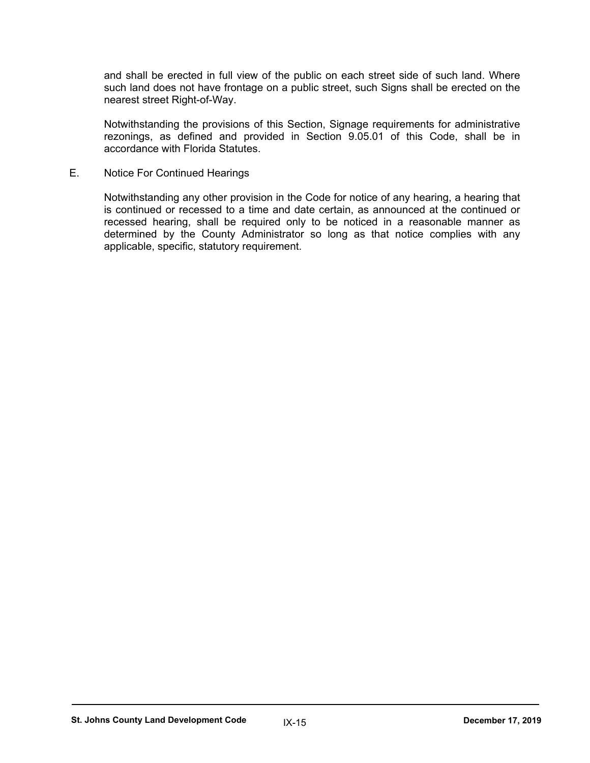and shall be erected in full view of the public on each street side of such land. Where such land does not have frontage on a public street, such Signs shall be erected on the nearest street Right-of-Way.

Notwithstanding the provisions of this Section, Signage requirements for administrative rezonings, as defined and provided in Section 9.05.01 of this Code, shall be in accordance with Florida Statutes.

E. Notice For Continued Hearings

Notwithstanding any other provision in the Code for notice of any hearing, a hearing that is continued or recessed to a time and date certain, as announced at the continued or recessed hearing, shall be required only to be noticed in a reasonable manner as determined by the County Administrator so long as that notice complies with any applicable, specific, statutory requirement.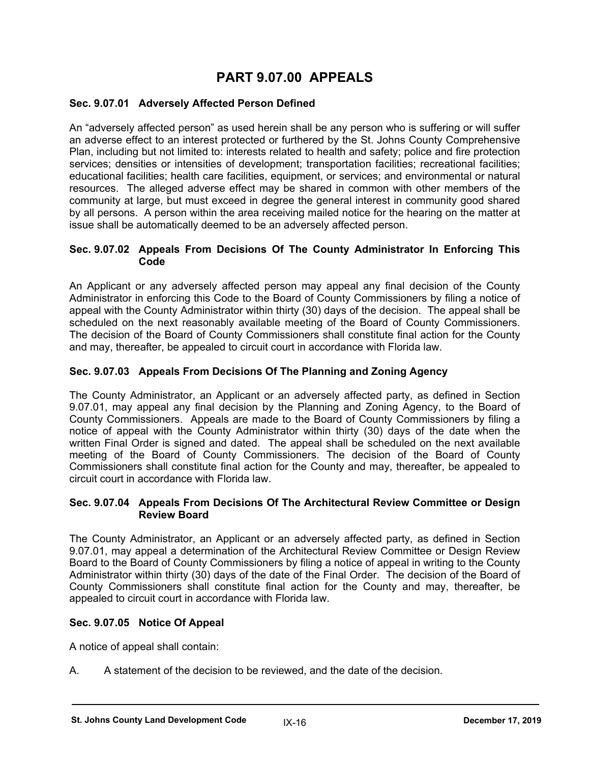# **PART 9.07.00 APPEALS**

#### **Sec. 9.07.01 Adversely Affected Person Defined**

An "adversely affected person" as used herein shall be any person who is suffering or will suffer an adverse effect to an interest protected or furthered by the St. Johns County Comprehensive Plan, including but not limited to: interests related to health and safety; police and fire protection services; densities or intensities of development; transportation facilities; recreational facilities; educational facilities; health care facilities, equipment, or services; and environmental or natural resources. The alleged adverse effect may be shared in common with other members of the community at large, but must exceed in degree the general interest in community good shared by all persons. A person within the area receiving mailed notice for the hearing on the matter at issue shall be automatically deemed to be an adversely affected person.

#### **Sec. 9.07.02 Appeals From Decisions Of The County Administrator In Enforcing This Code**

An Applicant or any adversely affected person may appeal any final decision of the County Administrator in enforcing this Code to the Board of County Commissioners by filing a notice of appeal with the County Administrator within thirty (30) days of the decision. The appeal shall be scheduled on the next reasonably available meeting of the Board of County Commissioners. The decision of the Board of County Commissioners shall constitute final action for the County and may, thereafter, be appealed to circuit court in accordance with Florida law.

### **Sec. 9.07.03 Appeals From Decisions Of The Planning and Zoning Agency**

The County Administrator, an Applicant or an adversely affected party, as defined in Section 9.07.01, may appeal any final decision by the Planning and Zoning Agency, to the Board of County Commissioners. Appeals are made to the Board of County Commissioners by filing a notice of appeal with the County Administrator within thirty (30) days of the date when the written Final Order is signed and dated. The appeal shall be scheduled on the next available meeting of the Board of County Commissioners. The decision of the Board of County Commissioners shall constitute final action for the County and may, thereafter, be appealed to circuit court in accordance with Florida law.

#### **Sec. 9.07.04 Appeals From Decisions Of The Architectural Review Committee or Design Review Board**

The County Administrator, an Applicant or an adversely affected party, as defined in Section 9.07.01, may appeal a determination of the Architectural Review Committee or Design Review Board to the Board of County Commissioners by filing a notice of appeal in writing to the County Administrator within thirty (30) days of the date of the Final Order. The decision of the Board of County Commissioners shall constitute final action for the County and may, thereafter, be appealed to circuit court in accordance with Florida law.

#### **Sec. 9.07.05 Notice Of Appeal**

A notice of appeal shall contain:

A. A statement of the decision to be reviewed, and the date of the decision.